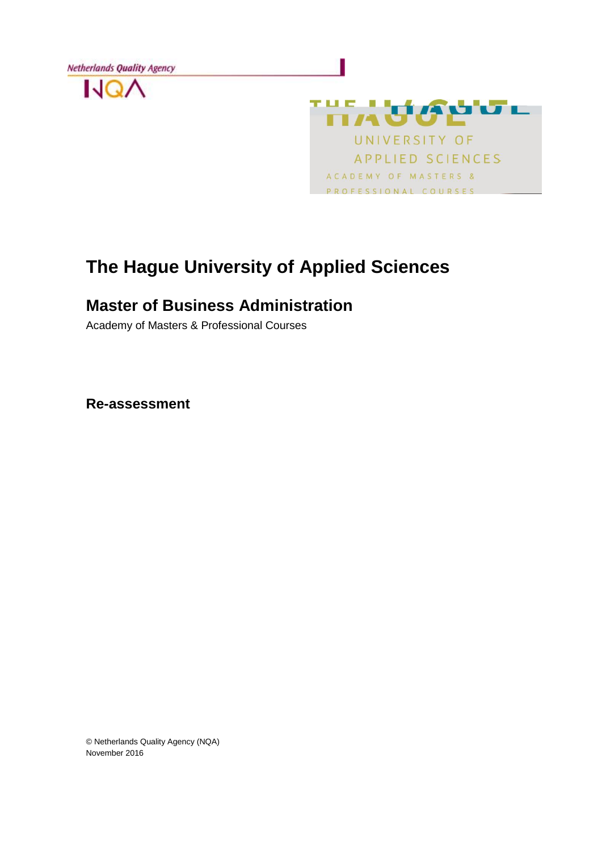Netherlands Quality Agency



THAY GUL UNIVERSITY OF APPLIED SCIENCES ACADEMY OF MASTERS & PROFESSIONAL COURSES

# **The Hague University of Applied Sciences**

## **Master of Business Administration**

Academy of Masters & Professional Courses

**Re-assessment**

© Netherlands Quality Agency (NQA) November 2016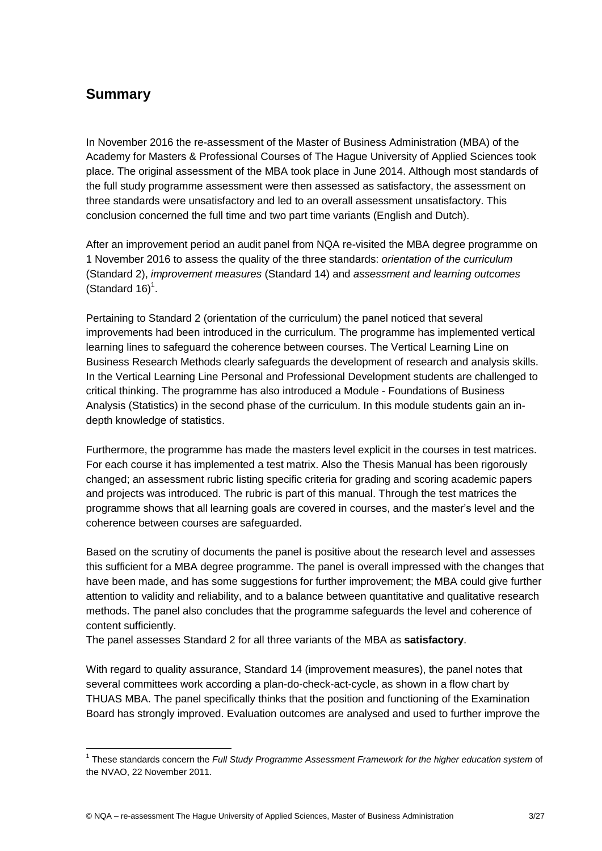## **Summary**

<u>.</u>

In November 2016 the re-assessment of the Master of Business Administration (MBA) of the Academy for Masters & Professional Courses of The Hague University of Applied Sciences took place. The original assessment of the MBA took place in June 2014. Although most standards of the full study programme assessment were then assessed as satisfactory, the assessment on three standards were unsatisfactory and led to an overall assessment unsatisfactory. This conclusion concerned the full time and two part time variants (English and Dutch).

After an improvement period an audit panel from NQA re-visited the MBA degree programme on 1 November 2016 to assess the quality of the three standards: *orientation of the curriculum* (Standard 2), *improvement measures* (Standard 14) and *assessment and learning outcomes*  (Standard  $16$ )<sup>1</sup>.

Pertaining to Standard 2 (orientation of the curriculum) the panel noticed that several improvements had been introduced in the curriculum. The programme has implemented vertical learning lines to safeguard the coherence between courses. The Vertical Learning Line on Business Research Methods clearly safeguards the development of research and analysis skills. In the Vertical Learning Line Personal and Professional Development students are challenged to critical thinking. The programme has also introduced a Module - Foundations of Business Analysis (Statistics) in the second phase of the curriculum. In this module students gain an indepth knowledge of statistics.

Furthermore, the programme has made the masters level explicit in the courses in test matrices. For each course it has implemented a test matrix. Also the Thesis Manual has been rigorously changed; an assessment rubric listing specific criteria for grading and scoring academic papers and projects was introduced. The rubric is part of this manual. Through the test matrices the programme shows that all learning goals are covered in courses, and the master's level and the coherence between courses are safeguarded.

Based on the scrutiny of documents the panel is positive about the research level and assesses this sufficient for a MBA degree programme. The panel is overall impressed with the changes that have been made, and has some suggestions for further improvement; the MBA could give further attention to validity and reliability, and to a balance between quantitative and qualitative research methods. The panel also concludes that the programme safeguards the level and coherence of content sufficiently.

The panel assesses Standard 2 for all three variants of the MBA as **satisfactory**.

With regard to quality assurance, Standard 14 (improvement measures), the panel notes that several committees work according a plan-do-check-act-cycle, as shown in a flow chart by THUAS MBA. The panel specifically thinks that the position and functioning of the Examination Board has strongly improved. Evaluation outcomes are analysed and used to further improve the

<sup>1</sup> These standards concern the *Full Study Programme Assessment Framework for the higher education system* of the NVAO, 22 November 2011.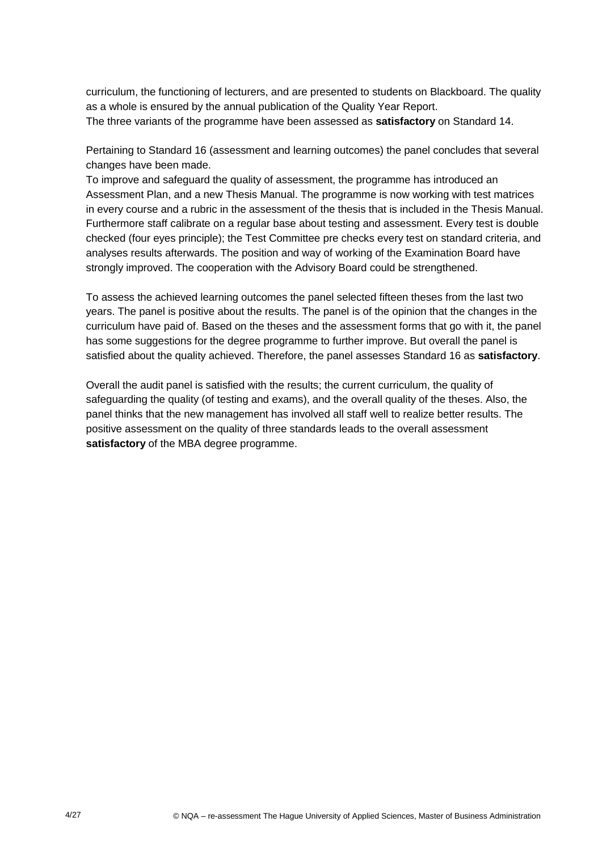curriculum, the functioning of lecturers, and are presented to students on Blackboard. The quality as a whole is ensured by the annual publication of the Quality Year Report. The three variants of the programme have been assessed as **satisfactory** on Standard 14.

Pertaining to Standard 16 (assessment and learning outcomes) the panel concludes that several changes have been made.

To improve and safeguard the quality of assessment, the programme has introduced an Assessment Plan, and a new Thesis Manual. The programme is now working with test matrices in every course and a rubric in the assessment of the thesis that is included in the Thesis Manual. Furthermore staff calibrate on a regular base about testing and assessment. Every test is double checked (four eyes principle); the Test Committee pre checks every test on standard criteria, and analyses results afterwards. The position and way of working of the Examination Board have strongly improved. The cooperation with the Advisory Board could be strengthened.

To assess the achieved learning outcomes the panel selected fifteen theses from the last two years. The panel is positive about the results. The panel is of the opinion that the changes in the curriculum have paid of. Based on the theses and the assessment forms that go with it, the panel has some suggestions for the degree programme to further improve. But overall the panel is satisfied about the quality achieved. Therefore, the panel assesses Standard 16 as **satisfactory**.

Overall the audit panel is satisfied with the results; the current curriculum, the quality of safeguarding the quality (of testing and exams), and the overall quality of the theses. Also, the panel thinks that the new management has involved all staff well to realize better results. The positive assessment on the quality of three standards leads to the overall assessment **satisfactory** of the MBA degree programme.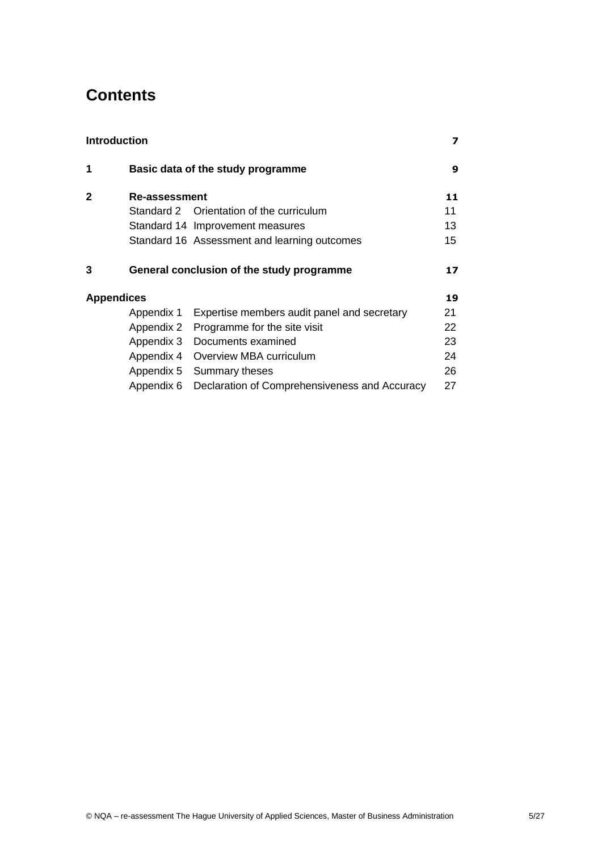## **Contents**

<span id="page-4-0"></span>

| <b>Introduction</b> |               |                                               | 7  |
|---------------------|---------------|-----------------------------------------------|----|
| 1                   |               | Basic data of the study programme             | 9  |
| $\mathbf{2}$        | Re-assessment |                                               | 11 |
|                     |               | Standard 2 Orientation of the curriculum      | 11 |
|                     |               | Standard 14 Improvement measures              | 13 |
|                     |               | Standard 16 Assessment and learning outcomes  | 15 |
| 3                   |               | General conclusion of the study programme     | 17 |
| <b>Appendices</b>   |               |                                               | 19 |
|                     | Appendix 1    | Expertise members audit panel and secretary   | 21 |
|                     | Appendix 2    | Programme for the site visit                  | 22 |
|                     | Appendix 3    | Documents examined                            | 23 |
|                     | Appendix 4    | Overview MBA curriculum                       | 24 |
|                     | Appendix 5    | Summary theses                                | 26 |
|                     | Appendix 6    | Declaration of Comprehensiveness and Accuracy | 27 |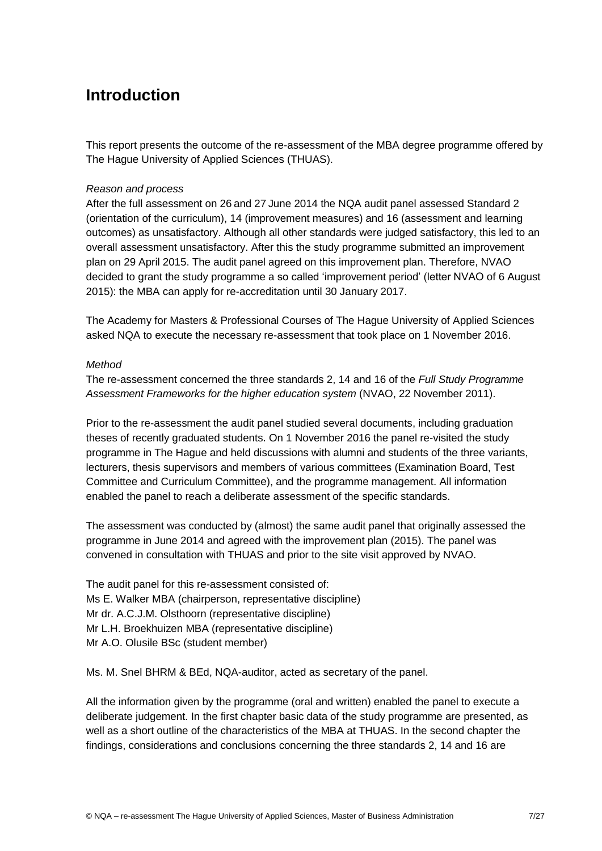## **Introduction**

This report presents the outcome of the re-assessment of the MBA degree programme offered by The Hague University of Applied Sciences (THUAS).

#### *Reason and process*

After the full assessment on 26 and 27 June 2014 the NQA audit panel assessed Standard 2 (orientation of the curriculum), 14 (improvement measures) and 16 (assessment and learning outcomes) as unsatisfactory. Although all other standards were judged satisfactory, this led to an overall assessment unsatisfactory. After this the study programme submitted an improvement plan on 29 April 2015. The audit panel agreed on this improvement plan. Therefore, NVAO decided to grant the study programme a so called 'improvement period' (letter NVAO of 6 August 2015): the MBA can apply for re-accreditation until 30 January 2017.

The Academy for Masters & Professional Courses of The Hague University of Applied Sciences asked NQA to execute the necessary re-assessment that took place on 1 November 2016.

#### *Method*

The re-assessment concerned the three standards 2, 14 and 16 of the *Full Study Programme Assessment Frameworks for the higher education system* (NVAO, 22 November 2011).

Prior to the re-assessment the audit panel studied several documents, including graduation theses of recently graduated students. On 1 November 2016 the panel re-visited the study programme in The Hague and held discussions with alumni and students of the three variants, lecturers, thesis supervisors and members of various committees (Examination Board, Test Committee and Curriculum Committee), and the programme management. All information enabled the panel to reach a deliberate assessment of the specific standards.

The assessment was conducted by (almost) the same audit panel that originally assessed the programme in June 2014 and agreed with the improvement plan (2015). The panel was convened in consultation with THUAS and prior to the site visit approved by NVAO.

The audit panel for this re-assessment consisted of: Ms E. Walker MBA (chairperson, representative discipline) Mr dr. A.C.J.M. Olsthoorn (representative discipline) Mr L.H. Broekhuizen MBA (representative discipline) Mr A.O. Olusile BSc (student member)

Ms. M. Snel BHRM & BEd, NQA-auditor, acted as secretary of the panel.

All the information given by the programme (oral and written) enabled the panel to execute a deliberate judgement. In the first chapter basic data of the study programme are presented, as well as a short outline of the characteristics of the MBA at THUAS. In the second chapter the findings, considerations and conclusions concerning the three standards 2, 14 and 16 are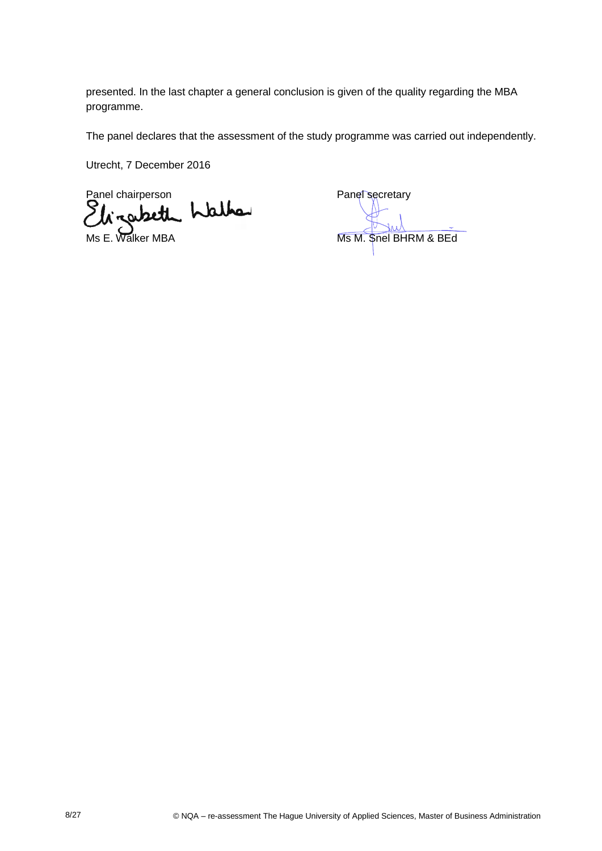presented. In the last chapter a general conclusion is given of the quality regarding the MBA programme.

The panel declares that the assessment of the study programme was carried out independently.

Utrecht, 7 December 2016

Panel chairperson<br>Elizabeth Walke

Ms E. Walker MBA Ms M. Snel BHRM & BEd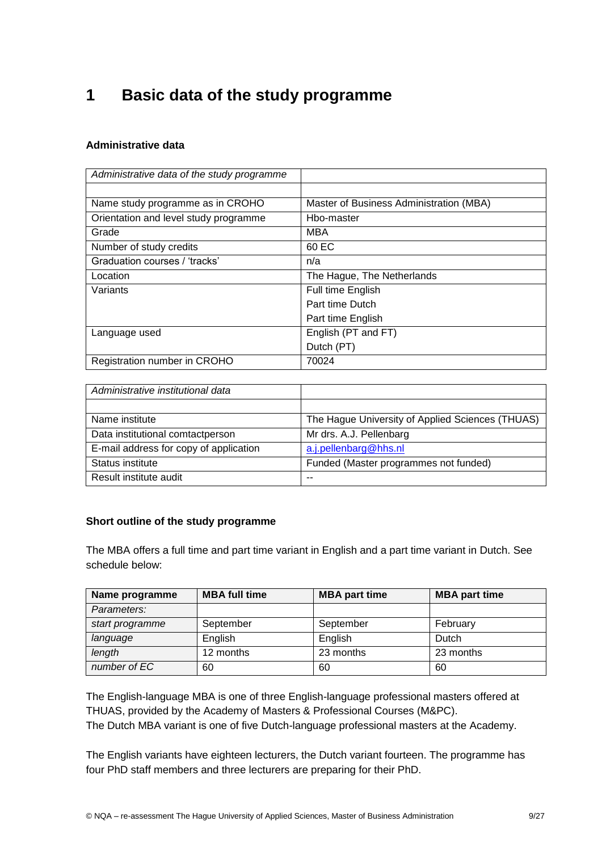## <span id="page-8-0"></span>**1 Basic data of the study programme**

#### **Administrative data**

| Administrative data of the study programme |                                         |
|--------------------------------------------|-----------------------------------------|
|                                            |                                         |
| Name study programme as in CROHO           | Master of Business Administration (MBA) |
| Orientation and level study programme      | Hbo-master                              |
| Grade                                      | MBA                                     |
| Number of study credits                    | 60 EC                                   |
| Graduation courses / 'tracks'              | n/a                                     |
| Location                                   | The Hague, The Netherlands              |
| Variants                                   | Full time English                       |
|                                            | Part time Dutch                         |
|                                            | Part time English                       |
| Language used                              | English (PT and FT)                     |
|                                            | Dutch (PT)                              |
| Registration number in CROHO               | 70024                                   |

| Administrative institutional data      |                                                  |
|----------------------------------------|--------------------------------------------------|
|                                        |                                                  |
| Name institute                         | The Hague University of Applied Sciences (THUAS) |
| Data institutional comtactperson       | Mr drs. A.J. Pellenbarg                          |
| E-mail address for copy of application | a.j.pellenbarg@hhs.nl                            |
| Status institute                       | Funded (Master programmes not funded)            |
| Result institute audit                 | $-$                                              |

#### **Short outline of the study programme**

The MBA offers a full time and part time variant in English and a part time variant in Dutch. See schedule below:

| Name programme  | <b>MBA full time</b> | <b>MBA part time</b> | <b>MBA part time</b> |
|-----------------|----------------------|----------------------|----------------------|
| Parameters:     |                      |                      |                      |
| start programme | September            | September            | February             |
| language        | English              | English              | Dutch                |
| length          | 12 months            | 23 months            | 23 months            |
| number of EC    | 60                   | 60                   | 60                   |

The English-language MBA is one of three English-language professional masters offered at THUAS, provided by the Academy of Masters & Professional Courses (M&PC). The Dutch MBA variant is one of five Dutch-language professional masters at the Academy.

The English variants have eighteen lecturers, the Dutch variant fourteen. The programme has four PhD staff members and three lecturers are preparing for their PhD.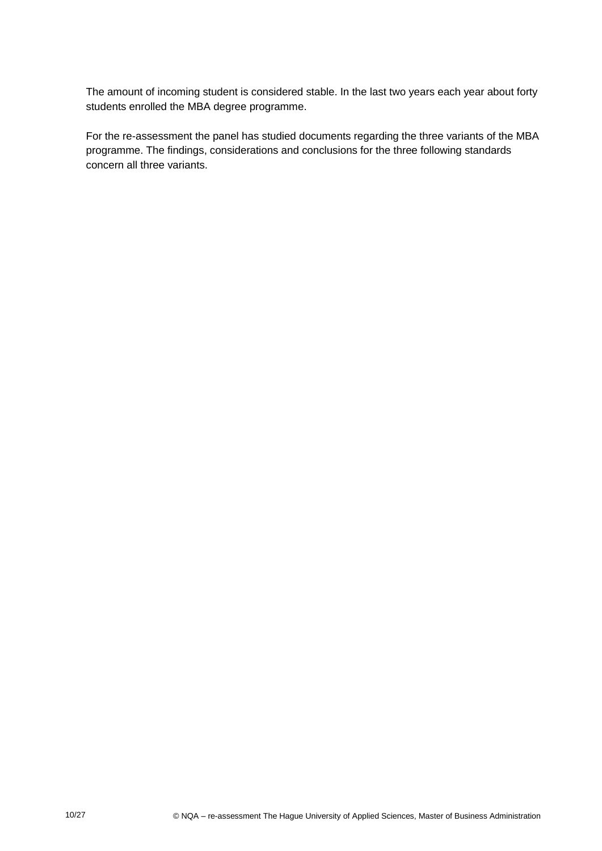The amount of incoming student is considered stable. In the last two years each year about forty students enrolled the MBA degree programme.

<span id="page-9-0"></span>For the re-assessment the panel has studied documents regarding the three variants of the MBA programme. The findings, considerations and conclusions for the three following standards concern all three variants.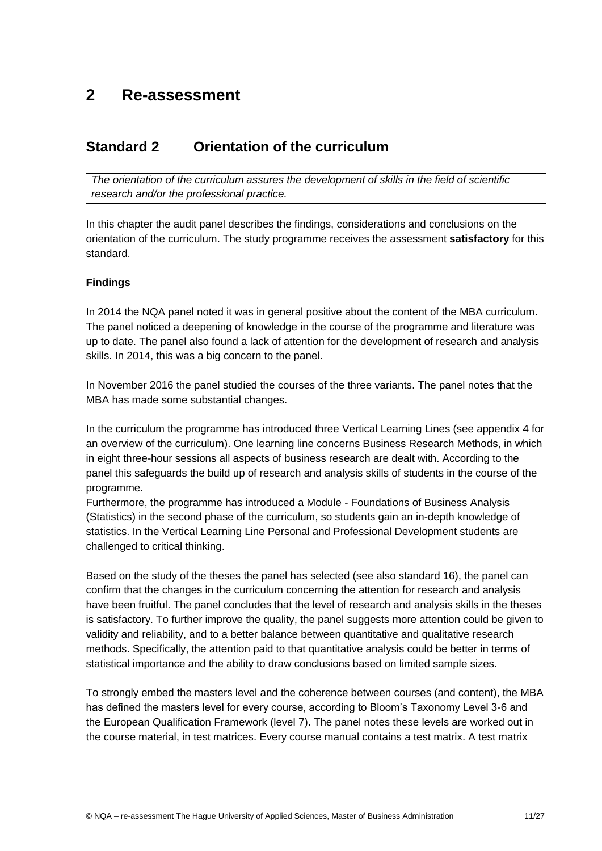## **2 Re-assessment**

### <span id="page-10-0"></span>**Standard 2 Orientation of the curriculum**

*The orientation of the curriculum assures the development of skills in the field of scientific research and/or the professional practice.*

In this chapter the audit panel describes the findings, considerations and conclusions on the orientation of the curriculum. The study programme receives the assessment **satisfactory** for this standard.

#### **Findings**

In 2014 the NQA panel noted it was in general positive about the content of the MBA curriculum. The panel noticed a deepening of knowledge in the course of the programme and literature was up to date. The panel also found a lack of attention for the development of research and analysis skills. In 2014, this was a big concern to the panel.

In November 2016 the panel studied the courses of the three variants. The panel notes that the MBA has made some substantial changes.

In the curriculum the programme has introduced three Vertical Learning Lines (see appendix 4 for an overview of the curriculum). One learning line concerns Business Research Methods, in which in eight three-hour sessions all aspects of business research are dealt with. According to the panel this safeguards the build up of research and analysis skills of students in the course of the programme.

Furthermore, the programme has introduced a Module - Foundations of Business Analysis (Statistics) in the second phase of the curriculum, so students gain an in-depth knowledge of statistics. In the Vertical Learning Line Personal and Professional Development students are challenged to critical thinking.

Based on the study of the theses the panel has selected (see also standard 16), the panel can confirm that the changes in the curriculum concerning the attention for research and analysis have been fruitful. The panel concludes that the level of research and analysis skills in the theses is satisfactory. To further improve the quality, the panel suggests more attention could be given to validity and reliability, and to a better balance between quantitative and qualitative research methods. Specifically, the attention paid to that quantitative analysis could be better in terms of statistical importance and the ability to draw conclusions based on limited sample sizes.

To strongly embed the masters level and the coherence between courses (and content), the MBA has defined the masters level for every course, according to Bloom's Taxonomy Level 3-6 and the European Qualification Framework (level 7). The panel notes these levels are worked out in the course material, in test matrices. Every course manual contains a test matrix. A test matrix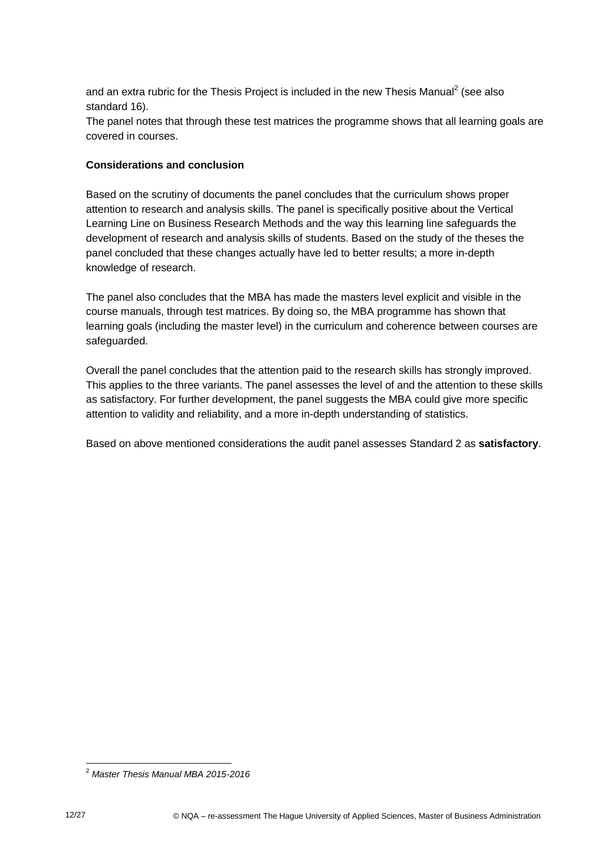and an extra rubric for the Thesis Project is included in the new Thesis Manual<sup>2</sup> (see also standard 16).

The panel notes that through these test matrices the programme shows that all learning goals are covered in courses.

#### **Considerations and conclusion**

Based on the scrutiny of documents the panel concludes that the curriculum shows proper attention to research and analysis skills. The panel is specifically positive about the Vertical Learning Line on Business Research Methods and the way this learning line safeguards the development of research and analysis skills of students. Based on the study of the theses the panel concluded that these changes actually have led to better results; a more in-depth knowledge of research.

The panel also concludes that the MBA has made the masters level explicit and visible in the course manuals, through test matrices. By doing so, the MBA programme has shown that learning goals (including the master level) in the curriculum and coherence between courses are safeguarded.

Overall the panel concludes that the attention paid to the research skills has strongly improved. This applies to the three variants. The panel assesses the level of and the attention to these skills as satisfactory. For further development, the panel suggests the MBA could give more specific attention to validity and reliability, and a more in-depth understanding of statistics.

<span id="page-11-0"></span>Based on above mentioned considerations the audit panel assesses Standard 2 as **satisfactory**.

<sup>1</sup> <sup>2</sup> *Master Thesis Manual MBA 2015-2016*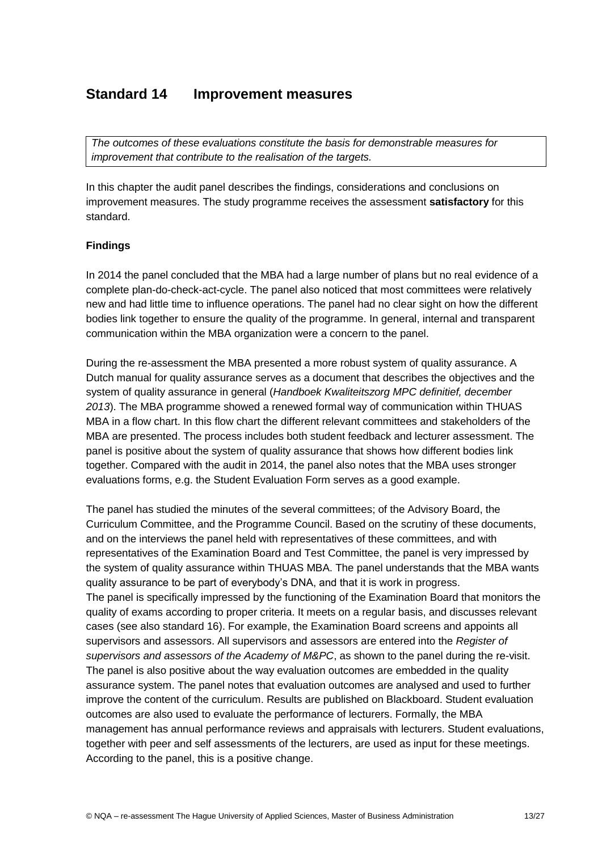### **Standard 14 Improvement measures**

*The outcomes of these evaluations constitute the basis for demonstrable measures for improvement that contribute to the realisation of the targets.*

In this chapter the audit panel describes the findings, considerations and conclusions on improvement measures. The study programme receives the assessment **satisfactory** for this standard.

#### **Findings**

In 2014 the panel concluded that the MBA had a large number of plans but no real evidence of a complete plan-do-check-act-cycle. The panel also noticed that most committees were relatively new and had little time to influence operations. The panel had no clear sight on how the different bodies link together to ensure the quality of the programme. In general, internal and transparent communication within the MBA organization were a concern to the panel.

During the re-assessment the MBA presented a more robust system of quality assurance. A Dutch manual for quality assurance serves as a document that describes the objectives and the system of quality assurance in general (*Handboek Kwaliteitszorg MPC definitief, december 2013*). The MBA programme showed a renewed formal way of communication within THUAS MBA in a flow chart. In this flow chart the different relevant committees and stakeholders of the MBA are presented. The process includes both student feedback and lecturer assessment. The panel is positive about the system of quality assurance that shows how different bodies link together. Compared with the audit in 2014, the panel also notes that the MBA uses stronger evaluations forms, e.g. the Student Evaluation Form serves as a good example.

The panel has studied the minutes of the several committees; of the Advisory Board, the Curriculum Committee, and the Programme Council. Based on the scrutiny of these documents, and on the interviews the panel held with representatives of these committees, and with representatives of the Examination Board and Test Committee, the panel is very impressed by the system of quality assurance within THUAS MBA. The panel understands that the MBA wants quality assurance to be part of everybody's DNA, and that it is work in progress. The panel is specifically impressed by the functioning of the Examination Board that monitors the quality of exams according to proper criteria. It meets on a regular basis, and discusses relevant cases (see also standard 16). For example, the Examination Board screens and appoints all supervisors and assessors. All supervisors and assessors are entered into the *Register of supervisors and assessors of the Academy of M&PC*, as shown to the panel during the re-visit. The panel is also positive about the way evaluation outcomes are embedded in the quality assurance system. The panel notes that evaluation outcomes are analysed and used to further improve the content of the curriculum. Results are published on Blackboard. Student evaluation outcomes are also used to evaluate the performance of lecturers. Formally, the MBA management has annual performance reviews and appraisals with lecturers. Student evaluations, together with peer and self assessments of the lecturers, are used as input for these meetings. According to the panel, this is a positive change.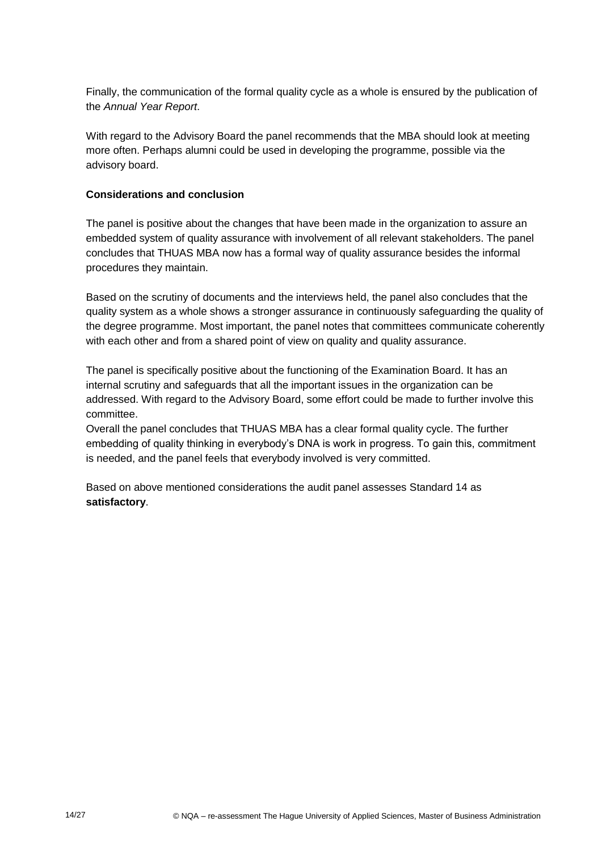Finally, the communication of the formal quality cycle as a whole is ensured by the publication of the *Annual Year Report*.

With regard to the Advisory Board the panel recommends that the MBA should look at meeting more often. Perhaps alumni could be used in developing the programme, possible via the advisory board.

#### **Considerations and conclusion**

The panel is positive about the changes that have been made in the organization to assure an embedded system of quality assurance with involvement of all relevant stakeholders. The panel concludes that THUAS MBA now has a formal way of quality assurance besides the informal procedures they maintain.

Based on the scrutiny of documents and the interviews held, the panel also concludes that the quality system as a whole shows a stronger assurance in continuously safeguarding the quality of the degree programme. Most important, the panel notes that committees communicate coherently with each other and from a shared point of view on quality and quality assurance.

The panel is specifically positive about the functioning of the Examination Board. It has an internal scrutiny and safeguards that all the important issues in the organization can be addressed. With regard to the Advisory Board, some effort could be made to further involve this committee.

Overall the panel concludes that THUAS MBA has a clear formal quality cycle. The further embedding of quality thinking in everybody's DNA is work in progress. To gain this, commitment is needed, and the panel feels that everybody involved is very committed.

<span id="page-13-0"></span>Based on above mentioned considerations the audit panel assesses Standard 14 as **satisfactory**.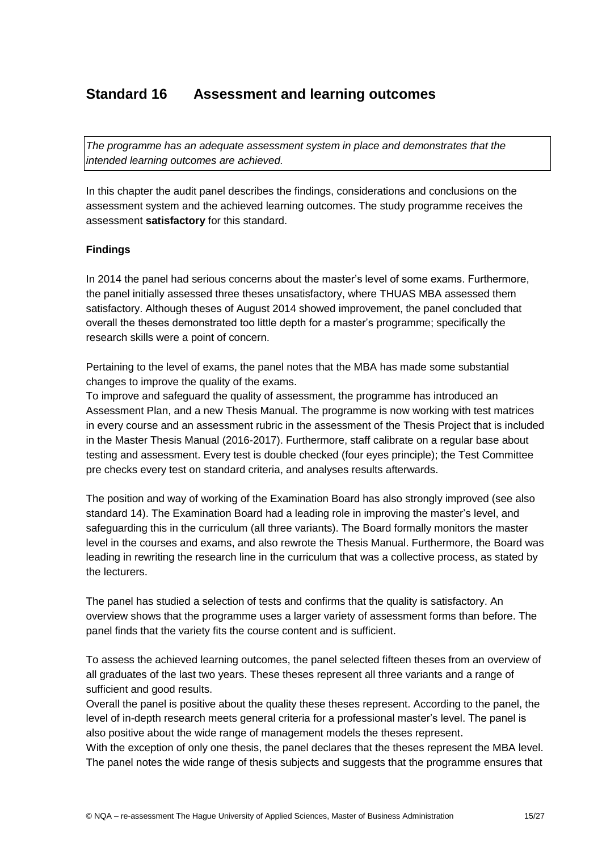## **Standard 16 Assessment and learning outcomes**

*The programme has an adequate assessment system in place and demonstrates that the intended learning outcomes are achieved.*

In this chapter the audit panel describes the findings, considerations and conclusions on the assessment system and the achieved learning outcomes. The study programme receives the assessment **satisfactory** for this standard.

#### **Findings**

In 2014 the panel had serious concerns about the master's level of some exams. Furthermore, the panel initially assessed three theses unsatisfactory, where THUAS MBA assessed them satisfactory. Although theses of August 2014 showed improvement, the panel concluded that overall the theses demonstrated too little depth for a master's programme; specifically the research skills were a point of concern.

Pertaining to the level of exams, the panel notes that the MBA has made some substantial changes to improve the quality of the exams.

To improve and safeguard the quality of assessment, the programme has introduced an Assessment Plan, and a new Thesis Manual. The programme is now working with test matrices in every course and an assessment rubric in the assessment of the Thesis Project that is included in the Master Thesis Manual (2016-2017). Furthermore, staff calibrate on a regular base about testing and assessment. Every test is double checked (four eyes principle); the Test Committee pre checks every test on standard criteria, and analyses results afterwards.

The position and way of working of the Examination Board has also strongly improved (see also standard 14). The Examination Board had a leading role in improving the master's level, and safeguarding this in the curriculum (all three variants). The Board formally monitors the master level in the courses and exams, and also rewrote the Thesis Manual. Furthermore, the Board was leading in rewriting the research line in the curriculum that was a collective process, as stated by the lecturers.

The panel has studied a selection of tests and confirms that the quality is satisfactory. An overview shows that the programme uses a larger variety of assessment forms than before. The panel finds that the variety fits the course content and is sufficient.

To assess the achieved learning outcomes, the panel selected fifteen theses from an overview of all graduates of the last two years. These theses represent all three variants and a range of sufficient and good results.

Overall the panel is positive about the quality these theses represent. According to the panel, the level of in-depth research meets general criteria for a professional master's level. The panel is also positive about the wide range of management models the theses represent.

With the exception of only one thesis, the panel declares that the theses represent the MBA level. The panel notes the wide range of thesis subjects and suggests that the programme ensures that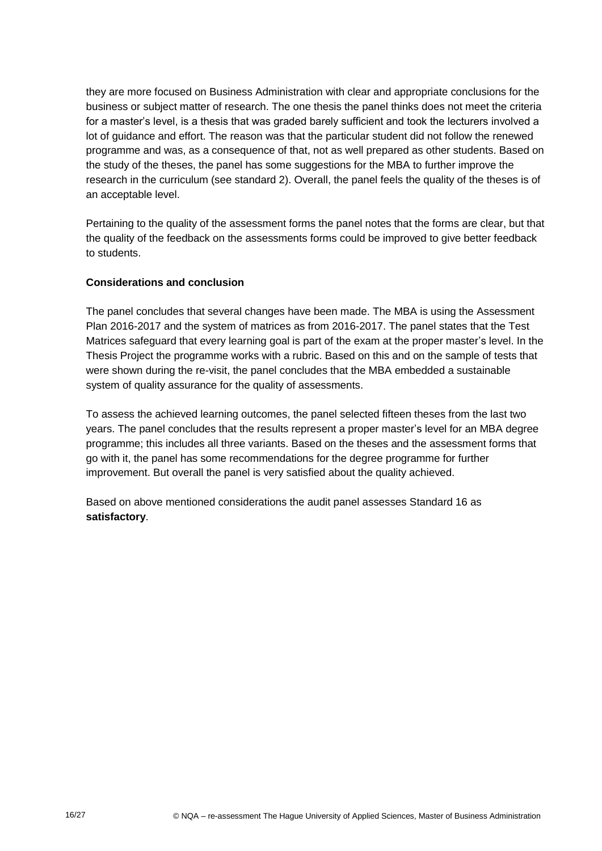they are more focused on Business Administration with clear and appropriate conclusions for the business or subject matter of research. The one thesis the panel thinks does not meet the criteria for a master's level, is a thesis that was graded barely sufficient and took the lecturers involved a lot of guidance and effort. The reason was that the particular student did not follow the renewed programme and was, as a consequence of that, not as well prepared as other students. Based on the study of the theses, the panel has some suggestions for the MBA to further improve the research in the curriculum (see standard 2). Overall, the panel feels the quality of the theses is of an acceptable level.

Pertaining to the quality of the assessment forms the panel notes that the forms are clear, but that the quality of the feedback on the assessments forms could be improved to give better feedback to students.

#### **Considerations and conclusion**

The panel concludes that several changes have been made. The MBA is using the Assessment Plan 2016-2017 and the system of matrices as from 2016-2017. The panel states that the Test Matrices safeguard that every learning goal is part of the exam at the proper master's level. In the Thesis Project the programme works with a rubric. Based on this and on the sample of tests that were shown during the re-visit, the panel concludes that the MBA embedded a sustainable system of quality assurance for the quality of assessments.

To assess the achieved learning outcomes, the panel selected fifteen theses from the last two years. The panel concludes that the results represent a proper master's level for an MBA degree programme; this includes all three variants. Based on the theses and the assessment forms that go with it, the panel has some recommendations for the degree programme for further improvement. But overall the panel is very satisfied about the quality achieved.

<span id="page-15-0"></span>Based on above mentioned considerations the audit panel assesses Standard 16 as **satisfactory**.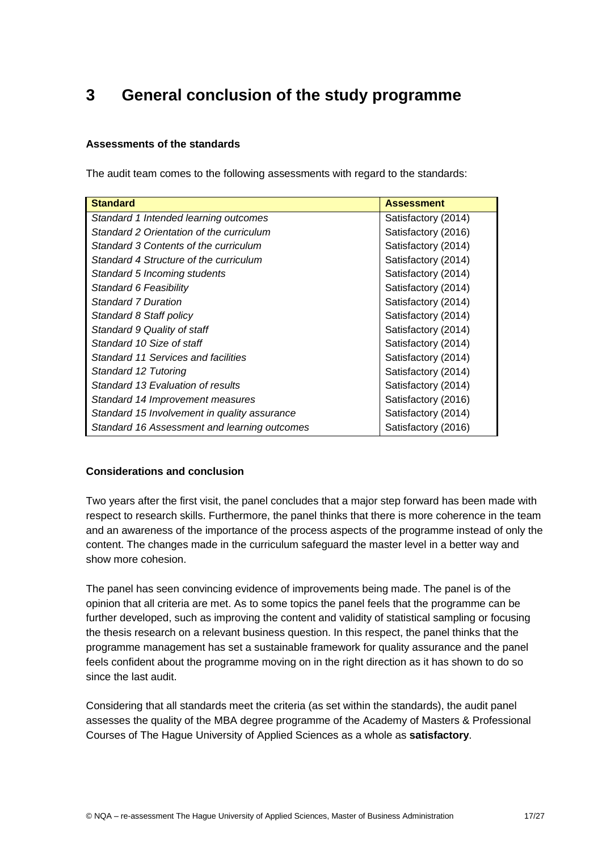## **3 General conclusion of the study programme**

#### **Assessments of the standards**

The audit team comes to the following assessments with regard to the standards:

| <b>Standard</b>                              | <b>Assessment</b>   |
|----------------------------------------------|---------------------|
| Standard 1 Intended learning outcomes        | Satisfactory (2014) |
| Standard 2 Orientation of the curriculum     | Satisfactory (2016) |
| Standard 3 Contents of the curriculum        | Satisfactory (2014) |
| Standard 4 Structure of the curriculum       | Satisfactory (2014) |
| Standard 5 Incoming students                 | Satisfactory (2014) |
| Standard 6 Feasibility                       | Satisfactory (2014) |
| Standard 7 Duration                          | Satisfactory (2014) |
| Standard 8 Staff policy                      | Satisfactory (2014) |
| Standard 9 Quality of staff                  | Satisfactory (2014) |
| Standard 10 Size of staff                    | Satisfactory (2014) |
| Standard 11 Services and facilities          | Satisfactory (2014) |
| Standard 12 Tutoring                         | Satisfactory (2014) |
| Standard 13 Evaluation of results            | Satisfactory (2014) |
| Standard 14 Improvement measures             | Satisfactory (2016) |
| Standard 15 Involvement in quality assurance | Satisfactory (2014) |
| Standard 16 Assessment and learning outcomes | Satisfactory (2016) |

#### **Considerations and conclusion**

Two years after the first visit, the panel concludes that a major step forward has been made with respect to research skills. Furthermore, the panel thinks that there is more coherence in the team and an awareness of the importance of the process aspects of the programme instead of only the content. The changes made in the curriculum safeguard the master level in a better way and show more cohesion.

The panel has seen convincing evidence of improvements being made. The panel is of the opinion that all criteria are met. As to some topics the panel feels that the programme can be further developed, such as improving the content and validity of statistical sampling or focusing the thesis research on a relevant business question. In this respect, the panel thinks that the programme management has set a sustainable framework for quality assurance and the panel feels confident about the programme moving on in the right direction as it has shown to do so since the last audit.

<span id="page-16-0"></span>Considering that all standards meet the criteria (as set within the standards), the audit panel assesses the quality of the MBA degree programme of the Academy of Masters & Professional Courses of The Hague University of Applied Sciences as a whole as **satisfactory**.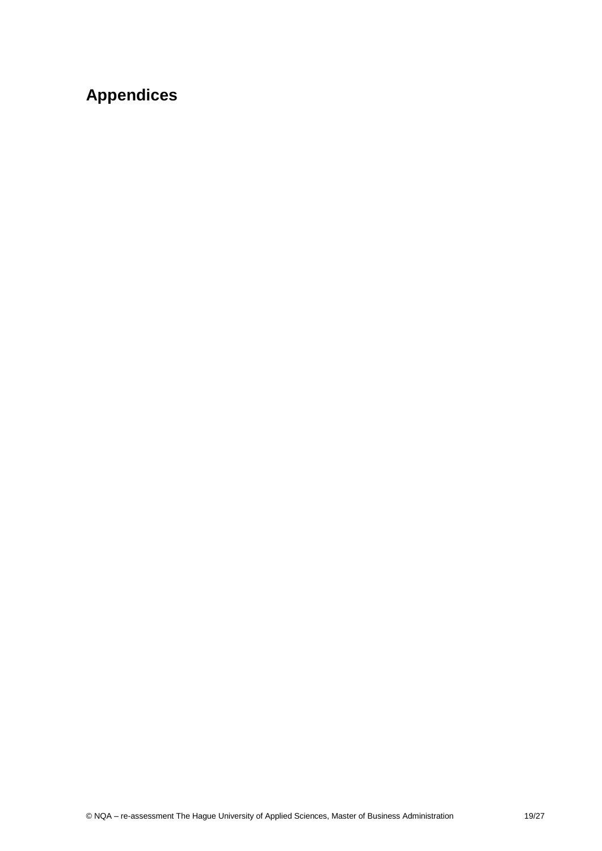# **Appendices**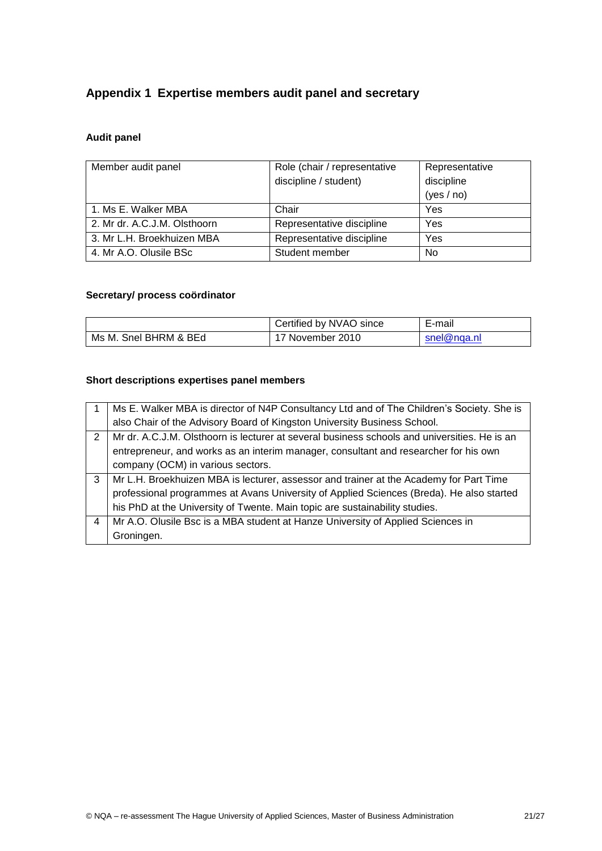### **Appendix 1 Expertise members audit panel and secretary**

#### **Audit panel**

| Member audit panel           | Role (chair / representative | Representative |
|------------------------------|------------------------------|----------------|
|                              | discipline / student)        | discipline     |
|                              |                              | (yes / no)     |
| 1. Ms E. Walker MBA          | Chair                        | Yes            |
| 2. Mr dr. A.C.J.M. Olsthoorn | Representative discipline    | Yes            |
| 3. Mr L.H. Broekhuizen MBA   | Representative discipline    | Yes            |
| 4. Mr A.O. Olusile BSc       | Student member               | N <sub>0</sub> |

### **Secretary/ process coördinator**

|                       | Certified by NVAO since | E-mail      |
|-----------------------|-------------------------|-------------|
| Ms M. Snel BHRM & BEd | 17 November 2010        | snel@nga.nl |

#### **Short descriptions expertises panel members**

|                | Ms E. Walker MBA is director of N4P Consultancy Ltd and of The Children's Society. She is    |
|----------------|----------------------------------------------------------------------------------------------|
|                | also Chair of the Advisory Board of Kingston University Business School.                     |
| 2              | Mr dr. A.C.J.M. Olsthoorn is lecturer at several business schools and universities. He is an |
|                | entrepreneur, and works as an interim manager, consultant and researcher for his own         |
|                | company (OCM) in various sectors.                                                            |
| 3              | Mr L.H. Broekhuizen MBA is lecturer, assessor and trainer at the Academy for Part Time       |
|                | professional programmes at Avans University of Applied Sciences (Breda). He also started     |
|                | his PhD at the University of Twente. Main topic are sustainability studies.                  |
| $\overline{4}$ | Mr A.O. Olusile Bsc is a MBA student at Hanze University of Applied Sciences in              |
|                | Groningen.                                                                                   |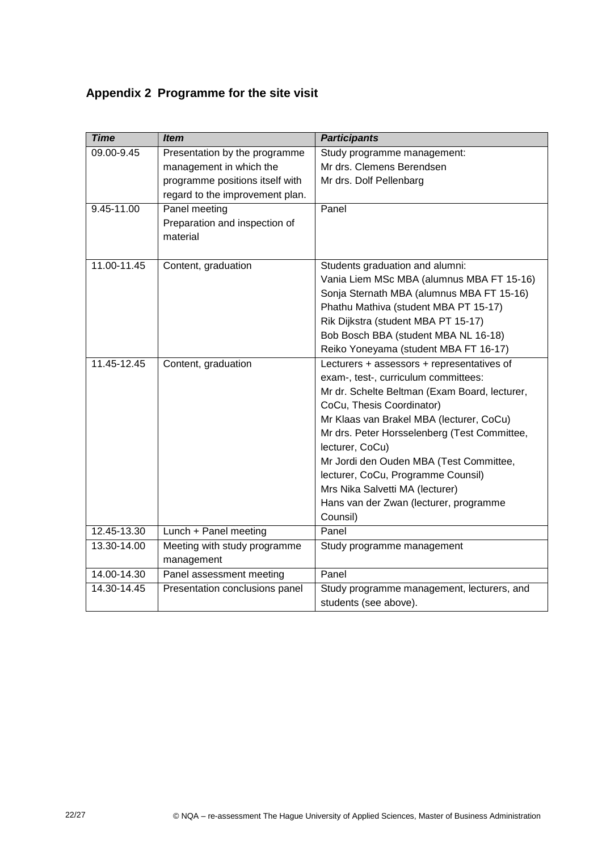## <span id="page-21-0"></span>**Appendix 2 Programme for the site visit**

| <b>Time</b>    | <b>Item</b>                     | <b>Participants</b>                           |
|----------------|---------------------------------|-----------------------------------------------|
| 09.00-9.45     | Presentation by the programme   | Study programme management:                   |
|                | management in which the         | Mr drs. Clemens Berendsen                     |
|                | programme positions itself with | Mr drs. Dolf Pellenbarg                       |
|                | regard to the improvement plan. |                                               |
| $9.45 - 11.00$ | Panel meeting                   | Panel                                         |
|                | Preparation and inspection of   |                                               |
|                | material                        |                                               |
|                |                                 |                                               |
| 11.00-11.45    | Content, graduation             | Students graduation and alumni:               |
|                |                                 | Vania Liem MSc MBA (alumnus MBA FT 15-16)     |
|                |                                 | Sonja Sternath MBA (alumnus MBA FT 15-16)     |
|                |                                 | Phathu Mathiva (student MBA PT 15-17)         |
|                |                                 | Rik Dijkstra (student MBA PT 15-17)           |
|                |                                 | Bob Bosch BBA (student MBA NL 16-18)          |
|                |                                 | Reiko Yoneyama (student MBA FT 16-17)         |
| 11.45-12.45    | Content, graduation             | Lecturers + assessors + representatives of    |
|                |                                 | exam-, test-, curriculum committees:          |
|                |                                 | Mr dr. Schelte Beltman (Exam Board, lecturer, |
|                |                                 | CoCu, Thesis Coordinator)                     |
|                |                                 | Mr Klaas van Brakel MBA (lecturer, CoCu)      |
|                |                                 | Mr drs. Peter Horsselenberg (Test Committee,  |
|                |                                 | lecturer, CoCu)                               |
|                |                                 | Mr Jordi den Ouden MBA (Test Committee,       |
|                |                                 | lecturer, CoCu, Programme Counsil)            |
|                |                                 | Mrs Nika Salvetti MA (lecturer)               |
|                |                                 | Hans van der Zwan (lecturer, programme        |
|                |                                 | Counsil)                                      |
| 12.45-13.30    | Lunch + Panel meeting           | Panel                                         |
| 13.30-14.00    | Meeting with study programme    | Study programme management                    |
|                | management                      |                                               |
| 14.00-14.30    | Panel assessment meeting        | Panel                                         |
| 14.30-14.45    | Presentation conclusions panel  | Study programme management, lecturers, and    |
|                |                                 | students (see above).                         |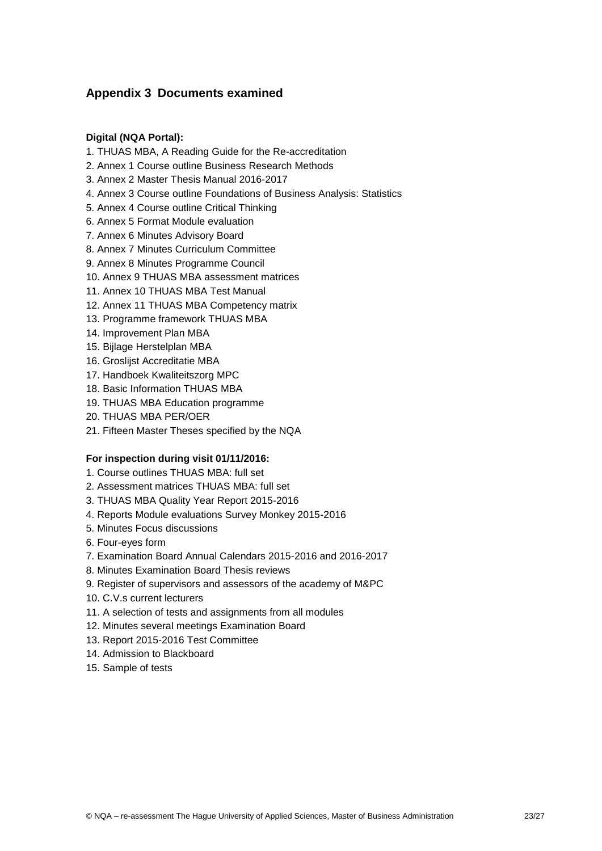#### <span id="page-22-0"></span>**Appendix 3 Documents examined**

#### **Digital (NQA Portal):**

- 1. THUAS MBA, A Reading Guide for the Re-accreditation
- 2. Annex 1 Course outline Business Research Methods
- 3. Annex 2 Master Thesis Manual 2016-2017
- 4. Annex 3 Course outline Foundations of Business Analysis: Statistics
- 5. Annex 4 Course outline Critical Thinking
- 6. Annex 5 Format Module evaluation
- 7. Annex 6 Minutes Advisory Board
- 8. Annex 7 Minutes Curriculum Committee
- 9. Annex 8 Minutes Programme Council
- 10. Annex 9 THUAS MBA assessment matrices
- 11. Annex 10 THUAS MBA Test Manual
- 12. Annex 11 THUAS MBA Competency matrix
- 13. Programme framework THUAS MBA
- 14. Improvement Plan MBA
- 15. Bijlage Herstelplan MBA
- 16. Groslijst Accreditatie MBA
- 17. Handboek Kwaliteitszorg MPC
- 18. Basic Information THUAS MBA
- 19. THUAS MBA Education programme
- 20. THUAS MBA PER/OER
- 21. Fifteen Master Theses specified by the NQA

#### **For inspection during visit 01/11/2016:**

- 1. Course outlines THUAS MBA: full set
- 2. Assessment matrices THUAS MBA: full set
- 3. THUAS MBA Quality Year Report 2015-2016
- 4. Reports Module evaluations Survey Monkey 2015-2016
- 5. Minutes Focus discussions
- 6. Four-eyes form
- 7. Examination Board Annual Calendars 2015-2016 and 2016-2017
- 8. Minutes Examination Board Thesis reviews
- 9. Register of supervisors and assessors of the academy of M&PC
- 10. C.V.s current lecturers
- 11. A selection of tests and assignments from all modules
- 12. Minutes several meetings Examination Board
- 13. Report 2015-2016 Test Committee
- 14. Admission to Blackboard
- 15. Sample of tests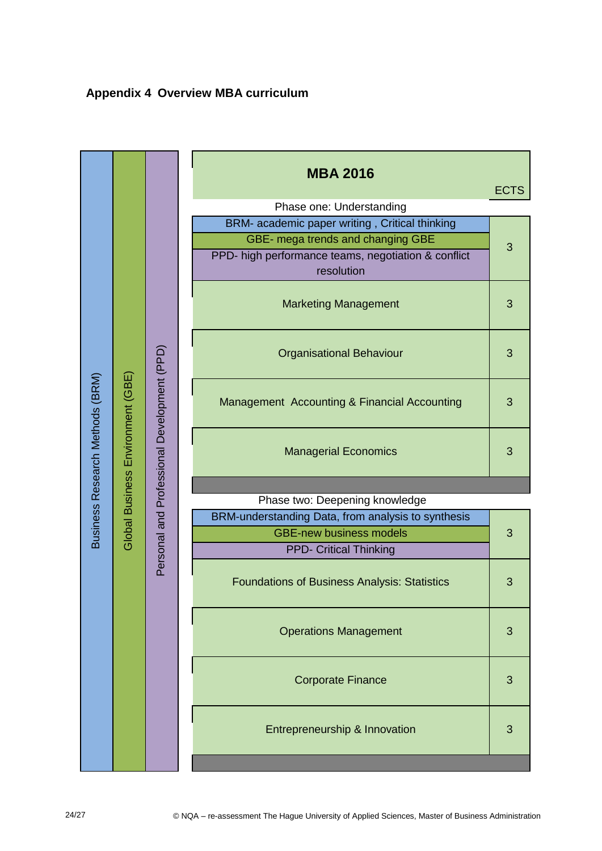

#### <span id="page-23-0"></span>**Appendix 4 Overview MBA curriculum**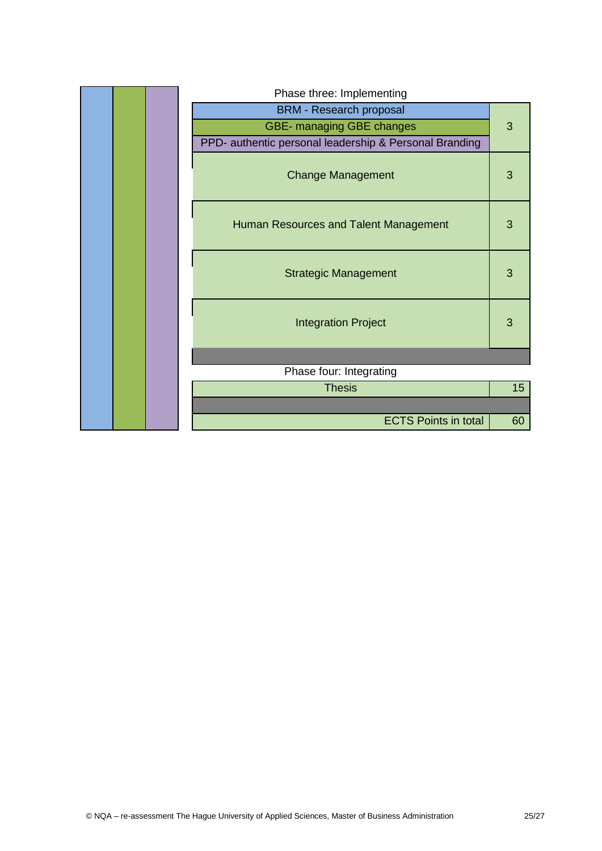| Phase three: Implementing                              |    |
|--------------------------------------------------------|----|
| <b>BRM - Research proposal</b>                         |    |
| GBE- managing GBE changes                              | 3  |
| PPD- authentic personal leadership & Personal Branding |    |
| <b>Change Management</b>                               | 3  |
| Human Resources and Talent Management                  | 3  |
| <b>Strategic Management</b>                            | 3  |
| <b>Integration Project</b>                             | 3  |
|                                                        |    |
| Phase four: Integrating                                |    |
| <b>Thesis</b>                                          | 15 |
|                                                        |    |
| <b>ECTS Points in total</b>                            | 60 |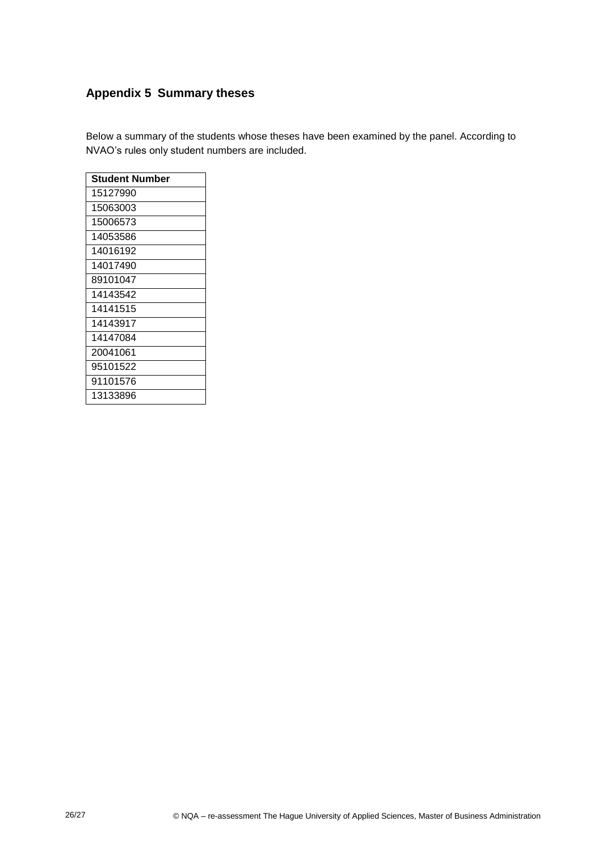### **Appendix 5 Summary theses**

Below a summary of the students whose theses have been examined by the panel. According to NVAO's rules only student numbers are included.

| <b>Student Number</b> |
|-----------------------|
| 15127990              |
| 15063003              |
| 15006573              |
| 14053586              |
| 14016192              |
| 14017490              |
| 89101047              |
| 14143542              |
| 14141515              |
| 14143917              |
| 14147084              |
| 20041061              |
| 95101522              |
| 91101576              |
| 13133896              |